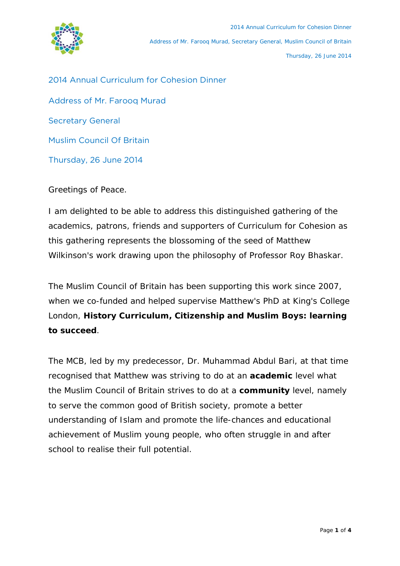

2014 Annual Curriculum for Cohesion Dinner Address of Mr. Farooq Murad Secretary General Muslim Council Of Britain Thursday, 26 June 2014

Greetings of Peace.

I am delighted to be able to address this distinguished gathering of the academics, patrons, friends and supporters of Curriculum for Cohesion as this gathering represents the blossoming of the seed of Matthew Wilkinson's work drawing upon the philosophy of Professor Roy Bhaskar.

The Muslim Council of Britain has been supporting this work since 2007, when we co-funded and helped supervise Matthew's PhD at King's College London, **History Curriculum, Citizenship and Muslim Boys: learning to succeed**.

The MCB, led by my predecessor, Dr. Muhammad Abdul Bari, at that time recognised that Matthew was striving to do at an **academic** level what the Muslim Council of Britain strives to do at a **community** level, namely to serve the common good of British society, promote a better understanding of Islam and promote the life-chances and educational achievement of Muslim young people, who often struggle in and after school to realise their full potential.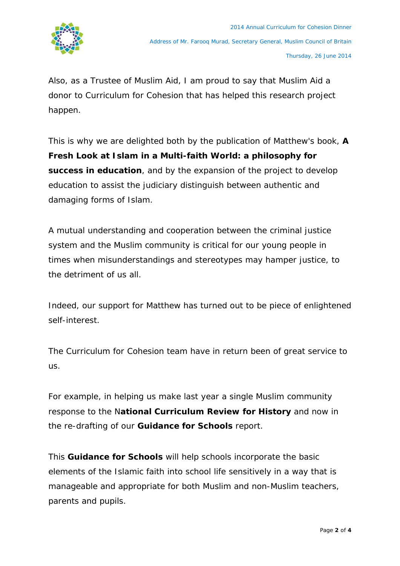

Also, as a Trustee of Muslim Aid, I am proud to say that Muslim Aid a donor to Curriculum for Cohesion that has helped this research project happen.

This is why we are delighted both by the publication of Matthew's book, **A Fresh Look at Islam in a Multi-faith World: a philosophy for success in education**, and by the expansion of the project to develop education to assist the judiciary distinguish between authentic and damaging forms of Islam.

A mutual understanding and cooperation between the criminal justice system and the Muslim community is critical for our young people in times when misunderstandings and stereotypes may hamper justice, to the detriment of us all.

Indeed, our support for Matthew has turned out to be piece of enlightened self-interest.

The Curriculum for Cohesion team have in return been of great service to us.

For example, in helping us make last year a single Muslim community response to the N**ational Curriculum Review for History** and now in the re-drafting of our **Guidance for Schools** report.

This **Guidance for Schools** will help schools incorporate the basic elements of the Islamic faith into school life sensitively in a way that is manageable and appropriate for both Muslim and non-Muslim teachers, parents and pupils.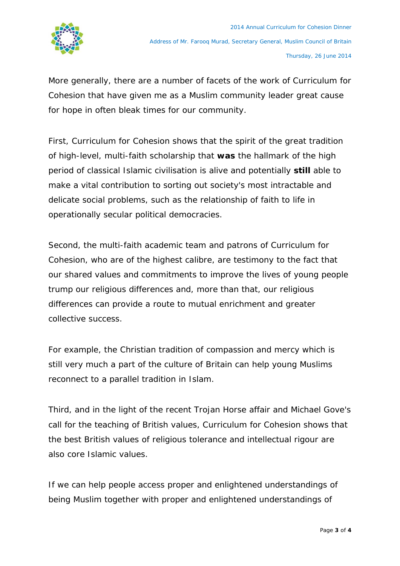

More generally, there are a number of facets of the work of Curriculum for Cohesion that have given me as a Muslim community leader great cause for hope in often bleak times for our community.

First, Curriculum for Cohesion shows that the spirit of the great tradition of high-level, multi-faith scholarship that **was** the hallmark of the high period of classical Islamic civilisation is alive and potentially **still** able to make a vital contribution to sorting out society's most intractable and delicate social problems, such as the relationship of faith to life in operationally secular political democracies.

Second, the multi-faith academic team and patrons of Curriculum for Cohesion, who are of the highest calibre, are testimony to the fact that our shared values and commitments to improve the lives of young people trump our religious differences and, more than that, our religious differences can provide a route to mutual enrichment and greater collective success.

For example, the Christian tradition of compassion and mercy which is still very much a part of the culture of Britain can help young Muslims reconnect to a parallel tradition in Islam.

Third, and in the light of the recent Trojan Horse affair and Michael Gove's call for the teaching of British values, Curriculum for Cohesion shows that the best British values of religious tolerance and intellectual rigour are also core Islamic values.

If we can help people access proper and enlightened understandings of being Muslim together with proper and enlightened understandings of